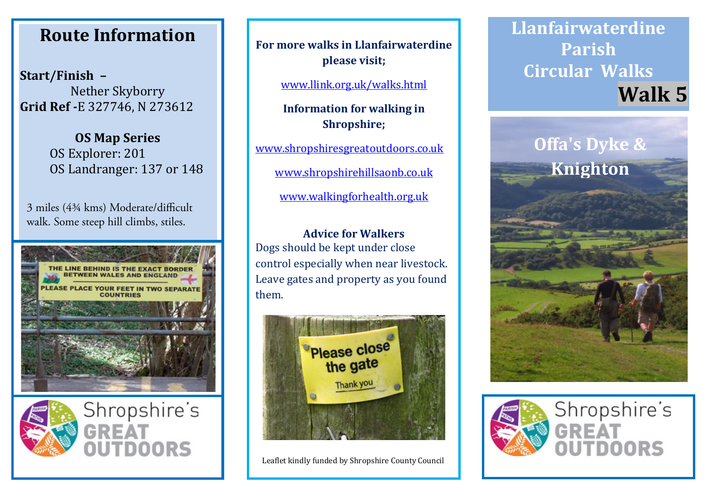## **Route Information Route Information Route Information**

**Start/Finish – Start/Finish – Start/Finish –** Nether Skyborry Nether Skyborry Nether Skyborry **Grid Ref -**E 327746, N 273612 **Grid Ref -**E 327746, N 273612 **Grid Ref -**E 327746, N 273612

> **OS Map Series OS Map Series OS Map Series** OS Explorer: 201 OS Explorer: 201 OS Explorer: 201 OS Landranger: 137 or 148 OS Landranger: 137 or 148 OS Landranger: 137 or 148

3 miles (4¾ kms) Moderate/difficult walk. Some steep hill climbs, stiles.





**For more walks in Llanfairwaterdine For more walks in Llanfairwaterdine For more walks in Llanfairwaterdine please visit; please visit; please visit;**

www.llink.org.uk/walks.html www.llink.org.uk/walks.html www.llink.org.uk/walks.html

**Information for walking in Information for walking in Information for walking in Shropshire; Shropshire; Shropshire;**

www.shropshiresgreatoutdoors.co.uk www.shropshiresgreatoutdoors.co.uk www.shropshiresgreatoutdoors.co.uk

www.shropshirehillsaonb.co.uk www.shropshirehillsaonb.co.uk www.shropshirehillsaonb.co.uk

www.walkingforhealth.org.uk www.walkingforhealth.org.uk www.walkingforhealth.org.uk

## **Advice for Walkers Advice for Walkers Advice for Walkers** Dogs should be kept under close Dogs should be kept under close Dogs should be kept under close control especially when near livestock. control especially when near livestock. control especially when near livestock. Leave gates and property as you found Leave gates and property as you found Leave gates and property as you found them. them. them.



Leaflet kindly funded by Shropshire County Council Leaflet kindly funded by Shropshire County Council Leaflet kindly funded by Shropshire County Council

## **Llanfairwaterdine Llanfairwaterdine Llanfairwaterdine Parish Parish Parish Circular Walks Circular Walks Circular Walks Walk 5 Walk 5 Walk 5**